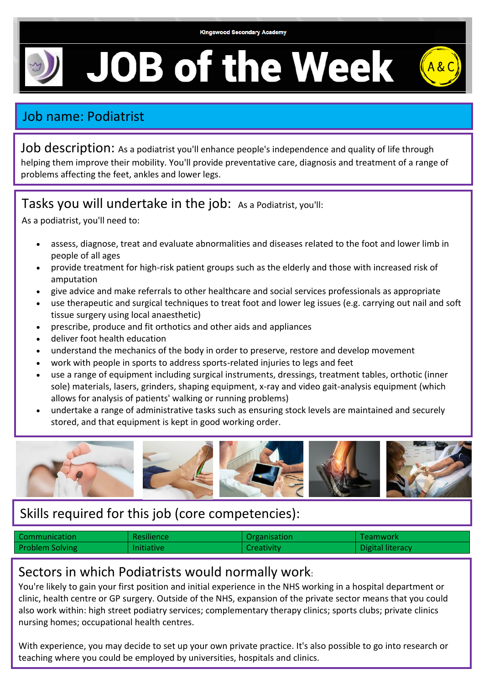# **JOB of the Week**



## Job name: Podiatrist

Job description: As a podiatrist you'll enhance people's independence and quality of life through helping them improve their mobility. You'll provide preventative care, diagnosis and treatment of a range of problems affecting the feet, ankles and lower legs.

#### Tasks you will undertake in the job: As a Podiatrist, you'll:

As a podiatrist, you'll need to:

- assess, diagnose, treat and evaluate abnormalities and diseases related to the foot and lower limb in people of all ages
- provide treatment for high-risk patient groups such as the elderly and those with increased risk of amputation
- give advice and make referrals to other healthcare and social services professionals as appropriate
- use therapeutic and surgical techniques to treat foot and lower leg issues (e.g. carrying out nail and soft tissue surgery using local anaesthetic)
- prescribe, produce and fit orthotics and other aids and appliances
- deliver foot health education
- understand the mechanics of the body in order to preserve, restore and develop movement
- work with people in sports to address sports-related injuries to legs and feet
- use a range of equipment including surgical instruments, dressings, treatment tables, orthotic (inner sole) materials, lasers, grinders, shaping equipment, x-ray and video gait-analysis equipment (which allows for analysis of patients' walking or running problems)
- undertake a range of administrative tasks such as ensuring stock levels are maintained and securely stored, and that equipment is kept in good working order.



### Skills required for this job (core competencies):

| Communication          | <b>Resilience</b> | Organisation | Teamwork         |
|------------------------|-------------------|--------------|------------------|
| <b>Problem Solving</b> | <b>Initiative</b> | Creativity   | Digital literacy |

#### Sectors in which Podiatrists would normally work:

You're likely to gain your first position and initial experience in the NHS working in a hospital department or clinic, health centre or GP surgery. Outside of the NHS, expansion of the private sector means that you could also work within: high street podiatry services; complementary therapy clinics; sports clubs; private clinics nursing homes; occupational health centres.

With experience, you may decide to set up your own private practice. It's also possible to go into research or teaching where you could be employed by universities, hospitals and clinics.